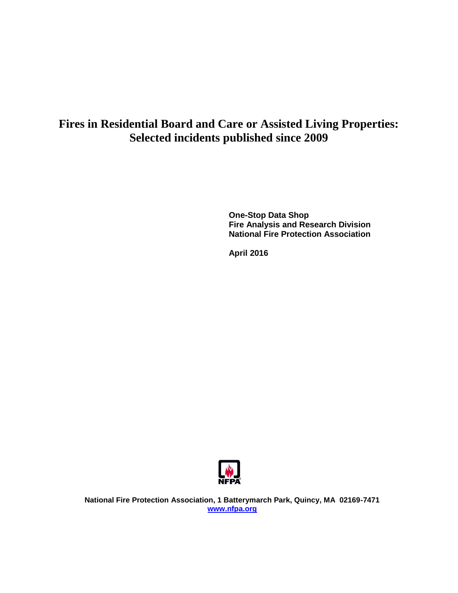# **Fires in Residential Board and Care or Assisted Living Properties: Selected incidents published since 2009**

**One-Stop Data Shop Fire Analysis and Research Division National Fire Protection Association**

**April 2016**



**National Fire Protection Association, 1 Batterymarch Park, Quincy, MA 02169-7471 [www.nfpa.org](http://www.nfpa.org/)**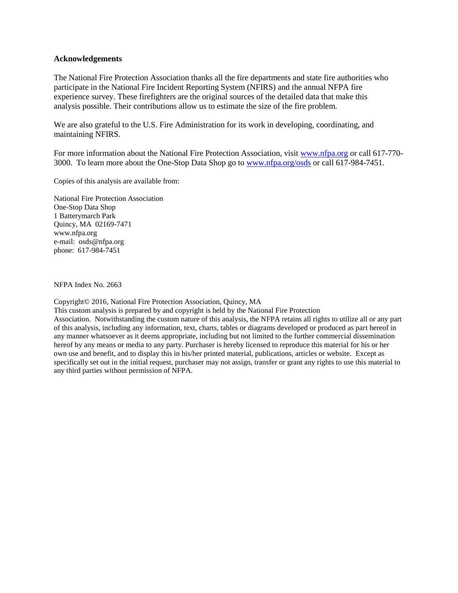#### **Acknowledgements**

The National Fire Protection Association thanks all the fire departments and state fire authorities who participate in the National Fire Incident Reporting System (NFIRS) and the annual NFPA fire experience survey. These firefighters are the original sources of the detailed data that make this analysis possible. Their contributions allow us to estimate the size of the fire problem.

We are also grateful to the U.S. Fire Administration for its work in developing, coordinating, and maintaining NFIRS.

For more information about the National Fire Protection Association, visit [www.nfpa.org](http://www.nfpa.org/) or call 617-770- 3000. To learn more about the One-Stop Data Shop go to [www.nfpa.org/osds](http://www.nfpa.org/osds) or call 617-984-7451.

Copies of this analysis are available from:

National Fire Protection Association One-Stop Data Shop 1 Batterymarch Park Quincy, MA 02169-7471 www.nfpa.org e-mail: osds@nfpa.org phone: 617-984-7451

NFPA Index No. 2663

Copyright© 2016, National Fire Protection Association, Quincy, MA

This custom analysis is prepared by and copyright is held by the National Fire Protection Association. Notwithstanding the custom nature of this analysis, the NFPA retains all rights to utilize all or any part of this analysis, including any information, text, charts, tables or diagrams developed or produced as part hereof in any manner whatsoever as it deems appropriate, including but not limited to the further commercial dissemination hereof by any means or media to any party. Purchaser is hereby licensed to reproduce this material for his or her own use and benefit, and to display this in his/her printed material, publications, articles or website. Except as specifically set out in the initial request, purchaser may not assign, transfer or grant any rights to use this material to any third parties without permission of NFPA.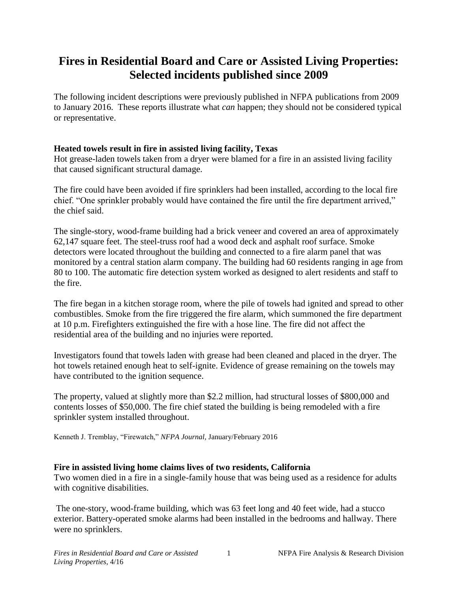# **Fires in Residential Board and Care or Assisted Living Properties: Selected incidents published since 2009**

The following incident descriptions were previously published in NFPA publications from 2009 to January 2016.These reports illustrate what *can* happen; they should not be considered typical or representative.

## **Heated towels result in fire in assisted living facility, Texas**

Hot grease-laden towels taken from a dryer were blamed for a fire in an assisted living facility that caused significant structural damage.

The fire could have been avoided if fire sprinklers had been installed, according to the local fire chief. "One sprinkler probably would have contained the fire until the fire department arrived," the chief said.

The single-story, wood-frame building had a brick veneer and covered an area of approximately 62,147 square feet. The steel-truss roof had a wood deck and asphalt roof surface. Smoke detectors were located throughout the building and connected to a fire alarm panel that was monitored by a central station alarm company. The building had 60 residents ranging in age from 80 to 100. The automatic fire detection system worked as designed to alert residents and staff to the fire.

The fire began in a kitchen storage room, where the pile of towels had ignited and spread to other combustibles. Smoke from the fire triggered the fire alarm, which summoned the fire department at 10 p.m. Firefighters extinguished the fire with a hose line. The fire did not affect the residential area of the building and no injuries were reported.

Investigators found that towels laden with grease had been cleaned and placed in the dryer. The hot towels retained enough heat to self-ignite. Evidence of grease remaining on the towels may have contributed to the ignition sequence.

The property, valued at slightly more than \$2.2 million, had structural losses of \$800,000 and contents losses of \$50,000. The fire chief stated the building is being remodeled with a fire sprinkler system installed throughout.

Kenneth J. Tremblay, "Firewatch," *NFPA Journal,* January/February 2016

# **Fire in assisted living home claims lives of two residents, California**

Two women died in a fire in a single-family house that was being used as a residence for adults with cognitive disabilities.

The one-story, wood-frame building, which was 63 feet long and 40 feet wide, had a stucco exterior. Battery-operated smoke alarms had been installed in the bedrooms and hallway. There were no sprinklers.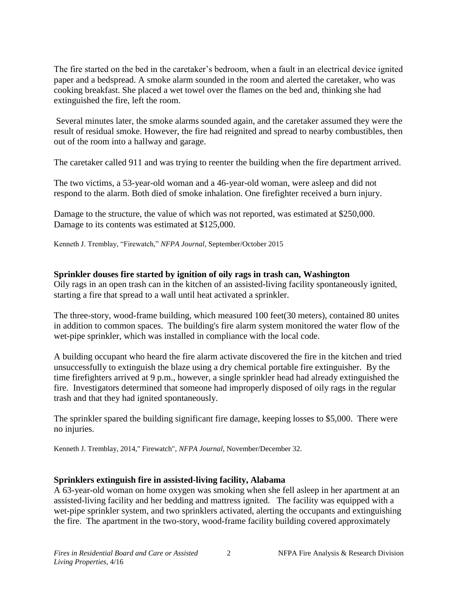The fire started on the bed in the caretaker's bedroom, when a fault in an electrical device ignited paper and a bedspread. A smoke alarm sounded in the room and alerted the caretaker, who was cooking breakfast. She placed a wet towel over the flames on the bed and, thinking she had extinguished the fire, left the room.

Several minutes later, the smoke alarms sounded again, and the caretaker assumed they were the result of residual smoke. However, the fire had reignited and spread to nearby combustibles, then out of the room into a hallway and garage.

The caretaker called 911 and was trying to reenter the building when the fire department arrived.

The two victims, a 53-year-old woman and a 46-year-old woman, were asleep and did not respond to the alarm. Both died of smoke inhalation. One firefighter received a burn injury.

Damage to the structure, the value of which was not reported, was estimated at \$250,000. Damage to its contents was estimated at \$125,000.

Kenneth J. Tremblay, "Firewatch," *NFPA Journal*, September/October 2015

## **Sprinkler douses fire started by ignition of oily rags in trash can, Washington**

Oily rags in an open trash can in the kitchen of an assisted-living facility spontaneously ignited, starting a fire that spread to a wall until heat activated a sprinkler.

The three-story, wood-frame building, which measured 100 feet(30 meters), contained 80 unites in addition to common spaces. The building's fire alarm system monitored the water flow of the wet-pipe sprinkler, which was installed in compliance with the local code.

A building occupant who heard the fire alarm activate discovered the fire in the kitchen and tried unsuccessfully to extinguish the blaze using a dry chemical portable fire extinguisher. By the time firefighters arrived at 9 p.m., however, a single sprinkler head had already extinguished the fire. Investigators determined that someone had improperly disposed of oily rags in the regular trash and that they had ignited spontaneously.

The sprinkler spared the building significant fire damage, keeping losses to \$5,000. There were no injuries.

Kenneth J. Tremblay, 2014," Firewatch", *NFPA Journal*, November/December 32.

## **Sprinklers extinguish fire in assisted-living facility, Alabama**

A 63-year-old woman on home oxygen was smoking when she fell asleep in her apartment at an assisted-living facility and her bedding and mattress ignited. The facility was equipped with a wet-pipe sprinkler system, and two sprinklers activated, alerting the occupants and extinguishing the fire. The apartment in the two-story, wood-frame facility building covered approximately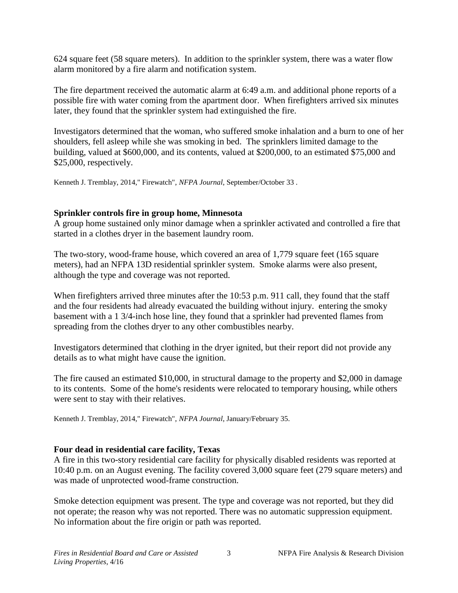624 square feet (58 square meters). In addition to the sprinkler system, there was a water flow alarm monitored by a fire alarm and notification system.

The fire department received the automatic alarm at 6:49 a.m. and additional phone reports of a possible fire with water coming from the apartment door. When firefighters arrived six minutes later, they found that the sprinkler system had extinguished the fire.

Investigators determined that the woman, who suffered smoke inhalation and a burn to one of her shoulders, fell asleep while she was smoking in bed. The sprinklers limited damage to the building, valued at \$600,000, and its contents, valued at \$200,000, to an estimated \$75,000 and \$25,000, respectively.

Kenneth J. Tremblay, 2014," Firewatch", *NFPA Journal*, September/October 33 .

### **Sprinkler controls fire in group home, Minnesota**

A group home sustained only minor damage when a sprinkler activated and controlled a fire that started in a clothes dryer in the basement laundry room.

The two-story, wood-frame house, which covered an area of 1,779 square feet (165 square meters), had an NFPA 13D residential sprinkler system. Smoke alarms were also present, although the type and coverage was not reported.

When firefighters arrived three minutes after the 10:53 p.m. 911 call, they found that the staff and the four residents had already evacuated the building without injury. entering the smoky basement with a 1 3/4-inch hose line, they found that a sprinkler had prevented flames from spreading from the clothes dryer to any other combustibles nearby.

Investigators determined that clothing in the dryer ignited, but their report did not provide any details as to what might have cause the ignition.

The fire caused an estimated \$10,000, in structural damage to the property and \$2,000 in damage to its contents. Some of the home's residents were relocated to temporary housing, while others were sent to stay with their relatives.

Kenneth J. Tremblay, 2014," Firewatch", *NFPA Journal*, January/February 35.

## **Four dead in residential care facility, Texas**

A fire in this two-story residential care facility for physically disabled residents was reported at 10:40 p.m. on an August evening. The facility covered 3,000 square feet (279 square meters) and was made of unprotected wood-frame construction.

Smoke detection equipment was present. The type and coverage was not reported, but they did not operate; the reason why was not reported. There was no automatic suppression equipment. No information about the fire origin or path was reported.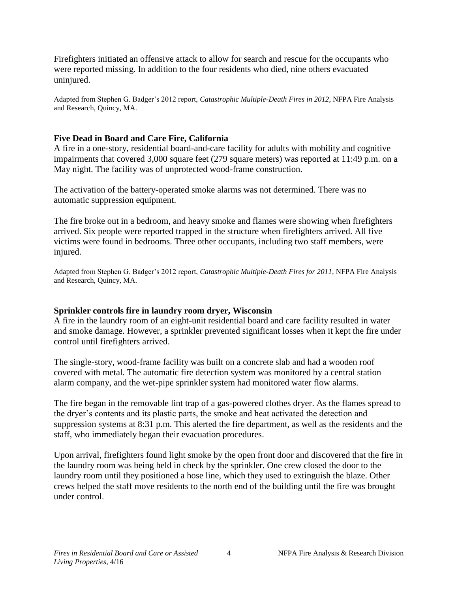Firefighters initiated an offensive attack to allow for search and rescue for the occupants who were reported missing. In addition to the four residents who died, nine others evacuated uninjured.

Adapted from Stephen G. Badger's 2012 report, *Catastrophic Multiple-Death Fires in 2012*, NFPA Fire Analysis and Research, Quincy, MA.

## **Five Dead in Board and Care Fire, California**

A fire in a one-story, residential board-and-care facility for adults with mobility and cognitive impairments that covered 3,000 square feet (279 square meters) was reported at 11:49 p.m. on a May night. The facility was of unprotected wood-frame construction.

The activation of the battery-operated smoke alarms was not determined. There was no automatic suppression equipment.

The fire broke out in a bedroom, and heavy smoke and flames were showing when firefighters arrived. Six people were reported trapped in the structure when firefighters arrived. All five victims were found in bedrooms. Three other occupants, including two staff members, were injured.

Adapted from Stephen G. Badger's 2012 report, *Catastrophic Multiple-Death Fires for 2011*, NFPA Fire Analysis and Research, Quincy, MA.

## **Sprinkler controls fire in laundry room dryer, Wisconsin**

A fire in the laundry room of an eight-unit residential board and care facility resulted in water and smoke damage. However, a sprinkler prevented significant losses when it kept the fire under control until firefighters arrived.

The single-story, wood-frame facility was built on a concrete slab and had a wooden roof covered with metal. The automatic fire detection system was monitored by a central station alarm company, and the wet-pipe sprinkler system had monitored water flow alarms.

The fire began in the removable lint trap of a gas-powered clothes dryer. As the flames spread to the dryer's contents and its plastic parts, the smoke and heat activated the detection and suppression systems at 8:31 p.m. This alerted the fire department, as well as the residents and the staff, who immediately began their evacuation procedures.

Upon arrival, firefighters found light smoke by the open front door and discovered that the fire in the laundry room was being held in check by the sprinkler. One crew closed the door to the laundry room until they positioned a hose line, which they used to extinguish the blaze. Other crews helped the staff move residents to the north end of the building until the fire was brought under control.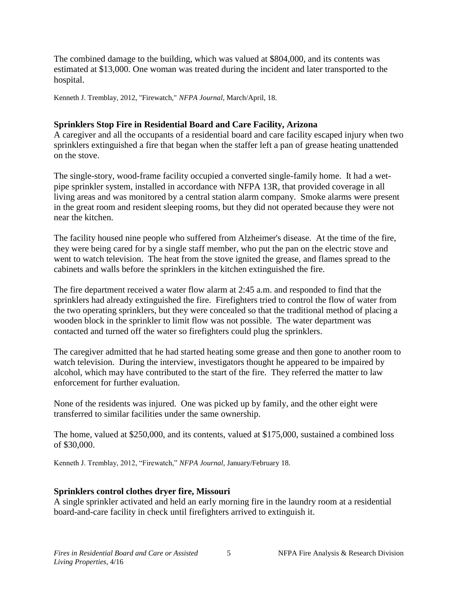The combined damage to the building, which was valued at \$804,000, and its contents was estimated at \$13,000. One woman was treated during the incident and later transported to the hospital.

Kenneth J. Tremblay, 2012, "Firewatch," *NFPA Journal,* March/April, 18.

## **Sprinklers Stop Fire in Residential Board and Care Facility, Arizona**

A caregiver and all the occupants of a residential board and care facility escaped injury when two sprinklers extinguished a fire that began when the staffer left a pan of grease heating unattended on the stove.

The single-story, wood-frame facility occupied a converted single-family home. It had a wetpipe sprinkler system, installed in accordance with NFPA 13R, that provided coverage in all living areas and was monitored by a central station alarm company. Smoke alarms were present in the great room and resident sleeping rooms, but they did not operated because they were not near the kitchen.

The facility housed nine people who suffered from Alzheimer's disease. At the time of the fire, they were being cared for by a single staff member, who put the pan on the electric stove and went to watch television. The heat from the stove ignited the grease, and flames spread to the cabinets and walls before the sprinklers in the kitchen extinguished the fire.

The fire department received a water flow alarm at 2:45 a.m. and responded to find that the sprinklers had already extinguished the fire. Firefighters tried to control the flow of water from the two operating sprinklers, but they were concealed so that the traditional method of placing a wooden block in the sprinkler to limit flow was not possible. The water department was contacted and turned off the water so firefighters could plug the sprinklers.

The caregiver admitted that he had started heating some grease and then gone to another room to watch television. During the interview, investigators thought he appeared to be impaired by alcohol, which may have contributed to the start of the fire. They referred the matter to law enforcement for further evaluation.

None of the residents was injured. One was picked up by family, and the other eight were transferred to similar facilities under the same ownership.

The home, valued at \$250,000, and its contents, valued at \$175,000, sustained a combined loss of \$30,000.

Kenneth J. Tremblay, 2012, "Firewatch," *NFPA Journal,* January/February 18.

## **Sprinklers control clothes dryer fire, Missouri**

A single sprinkler activated and held an early morning fire in the laundry room at a residential board-and-care facility in check until firefighters arrived to extinguish it.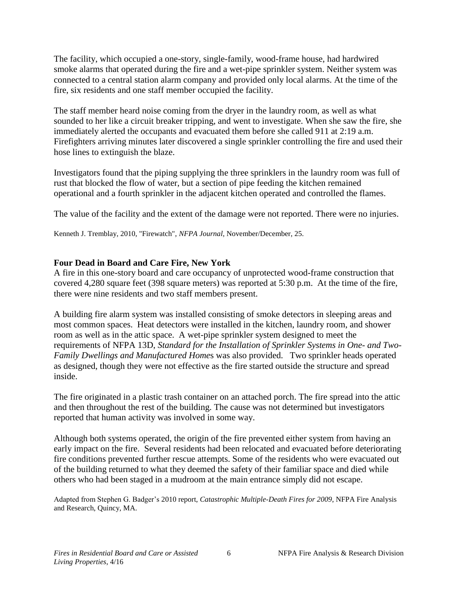The facility, which occupied a one-story, single-family, wood-frame house, had hardwired smoke alarms that operated during the fire and a wet-pipe sprinkler system. Neither system was connected to a central station alarm company and provided only local alarms. At the time of the fire, six residents and one staff member occupied the facility.

The staff member heard noise coming from the dryer in the laundry room, as well as what sounded to her like a circuit breaker tripping, and went to investigate. When she saw the fire, she immediately alerted the occupants and evacuated them before she called 911 at 2:19 a.m. Firefighters arriving minutes later discovered a single sprinkler controlling the fire and used their hose lines to extinguish the blaze.

Investigators found that the piping supplying the three sprinklers in the laundry room was full of rust that blocked the flow of water, but a section of pipe feeding the kitchen remained operational and a fourth sprinkler in the adjacent kitchen operated and controlled the flames.

The value of the facility and the extent of the damage were not reported. There were no injuries.

Kenneth J. Tremblay, 2010, "Firewatch", *NFPA Journal*, November/December, 25.

### **Four Dead in Board and Care Fire, New York**

A fire in this one-story board and care occupancy of unprotected wood-frame construction that covered 4,280 square feet (398 square meters) was reported at 5:30 p.m. At the time of the fire, there were nine residents and two staff members present.

A building fire alarm system was installed consisting of smoke detectors in sleeping areas and most common spaces. Heat detectors were installed in the kitchen, laundry room, and shower room as well as in the attic space. A wet-pipe sprinkler system designed to meet the requirements of NFPA 13D, *Standard for the Installation of Sprinkler Systems in One- and Two-Family Dwellings and Manufactured Home*s was also provided. Two sprinkler heads operated as designed, though they were not effective as the fire started outside the structure and spread inside.

The fire originated in a plastic trash container on an attached porch. The fire spread into the attic and then throughout the rest of the building. The cause was not determined but investigators reported that human activity was involved in some way.

Although both systems operated, the origin of the fire prevented either system from having an early impact on the fire. Several residents had been relocated and evacuated before deteriorating fire conditions prevented further rescue attempts. Some of the residents who were evacuated out of the building returned to what they deemed the safety of their familiar space and died while others who had been staged in a mudroom at the main entrance simply did not escape.

Adapted from Stephen G. Badger's 2010 report, *Catastrophic Multiple-Death Fires for 2009*, NFPA Fire Analysis and Research, Quincy, MA.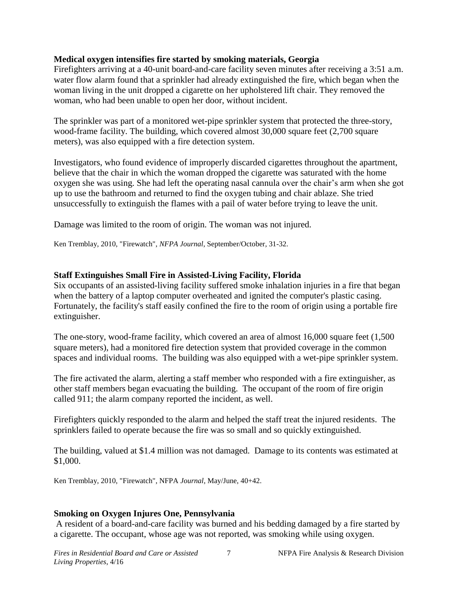## **Medical oxygen intensifies fire started by smoking materials, Georgia**

Firefighters arriving at a 40-unit board-and-care facility seven minutes after receiving a 3:51 a.m. water flow alarm found that a sprinkler had already extinguished the fire, which began when the woman living in the unit dropped a cigarette on her upholstered lift chair. They removed the woman, who had been unable to open her door, without incident.

The sprinkler was part of a monitored wet-pipe sprinkler system that protected the three-story, wood-frame facility. The building, which covered almost 30,000 square feet (2,700 square meters), was also equipped with a fire detection system.

Investigators, who found evidence of improperly discarded cigarettes throughout the apartment, believe that the chair in which the woman dropped the cigarette was saturated with the home oxygen she was using. She had left the operating nasal cannula over the chair's arm when she got up to use the bathroom and returned to find the oxygen tubing and chair ablaze. She tried unsuccessfully to extinguish the flames with a pail of water before trying to leave the unit.

Damage was limited to the room of origin. The woman was not injured.

Ken Tremblay, 2010, "Firewatch", *NFPA Journal*, September/October, 31-32.

## **Staff Extinguishes Small Fire in Assisted-Living Facility, Florida**

Six occupants of an assisted-living facility suffered smoke inhalation injuries in a fire that began when the battery of a laptop computer overheated and ignited the computer's plastic casing. Fortunately, the facility's staff easily confined the fire to the room of origin using a portable fire extinguisher.

The one-story, wood-frame facility, which covered an area of almost 16,000 square feet (1,500 square meters), had a monitored fire detection system that provided coverage in the common spaces and individual rooms. The building was also equipped with a wet-pipe sprinkler system.

The fire activated the alarm, alerting a staff member who responded with a fire extinguisher, as other staff members began evacuating the building. The occupant of the room of fire origin called 911; the alarm company reported the incident, as well.

Firefighters quickly responded to the alarm and helped the staff treat the injured residents. The sprinklers failed to operate because the fire was so small and so quickly extinguished.

The building, valued at \$1.4 million was not damaged. Damage to its contents was estimated at \$1,000.

Ken Tremblay, 2010, "Firewatch", NFPA *Journal*, May/June, 40+42.

## **Smoking on Oxygen Injures One, Pennsylvania**

A resident of a board-and-care facility was burned and his bedding damaged by a fire started by a cigarette. The occupant, whose age was not reported, was smoking while using oxygen.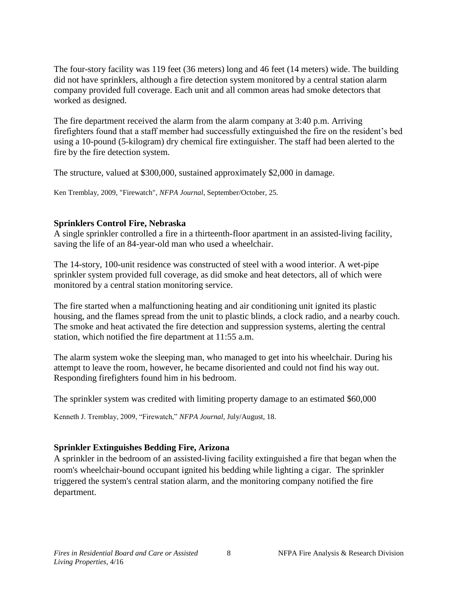The four-story facility was 119 feet (36 meters) long and 46 feet (14 meters) wide. The building did not have sprinklers, although a fire detection system monitored by a central station alarm company provided full coverage. Each unit and all common areas had smoke detectors that worked as designed.

The fire department received the alarm from the alarm company at 3:40 p.m. Arriving firefighters found that a staff member had successfully extinguished the fire on the resident's bed using a 10-pound (5-kilogram) dry chemical fire extinguisher. The staff had been alerted to the fire by the fire detection system.

The structure, valued at \$300,000, sustained approximately \$2,000 in damage.

Ken Tremblay, 2009, "Firewatch", *NFPA Journal*, September/October, 25.

### **Sprinklers Control Fire, Nebraska**

A single sprinkler controlled a fire in a thirteenth-floor apartment in an assisted-living facility, saving the life of an 84-year-old man who used a wheelchair.

The 14-story, 100-unit residence was constructed of steel with a wood interior. A wet-pipe sprinkler system provided full coverage, as did smoke and heat detectors, all of which were monitored by a central station monitoring service.

The fire started when a malfunctioning heating and air conditioning unit ignited its plastic housing, and the flames spread from the unit to plastic blinds, a clock radio, and a nearby couch. The smoke and heat activated the fire detection and suppression systems, alerting the central station, which notified the fire department at 11:55 a.m.

The alarm system woke the sleeping man, who managed to get into his wheelchair. During his attempt to leave the room, however, he became disoriented and could not find his way out. Responding firefighters found him in his bedroom.

The sprinkler system was credited with limiting property damage to an estimated \$60,000

Kenneth J. Tremblay, 2009, "Firewatch," *NFPA Journal,* July/August, 18.

## **Sprinkler Extinguishes Bedding Fire, Arizona**

A sprinkler in the bedroom of an assisted-living facility extinguished a fire that began when the room's wheelchair-bound occupant ignited his bedding while lighting a cigar. The sprinkler triggered the system's central station alarm, and the monitoring company notified the fire department.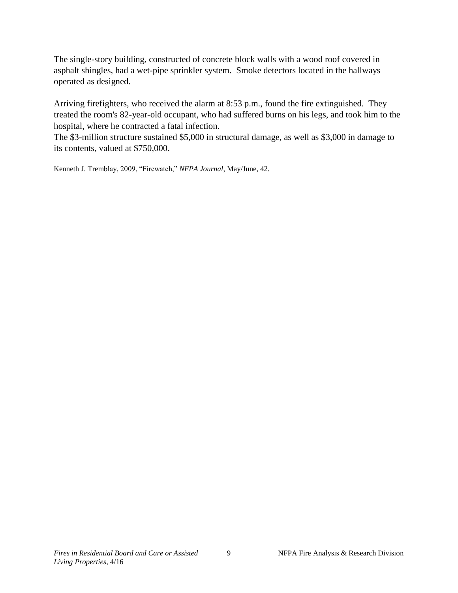The single-story building, constructed of concrete block walls with a wood roof covered in asphalt shingles, had a wet-pipe sprinkler system. Smoke detectors located in the hallways operated as designed.

Arriving firefighters, who received the alarm at 8:53 p.m., found the fire extinguished. They treated the room's 82-year-old occupant, who had suffered burns on his legs, and took him to the hospital, where he contracted a fatal infection.

The \$3-million structure sustained \$5,000 in structural damage, as well as \$3,000 in damage to its contents, valued at \$750,000.

Kenneth J. Tremblay, 2009, "Firewatch," *NFPA Journal*, May/June, 42.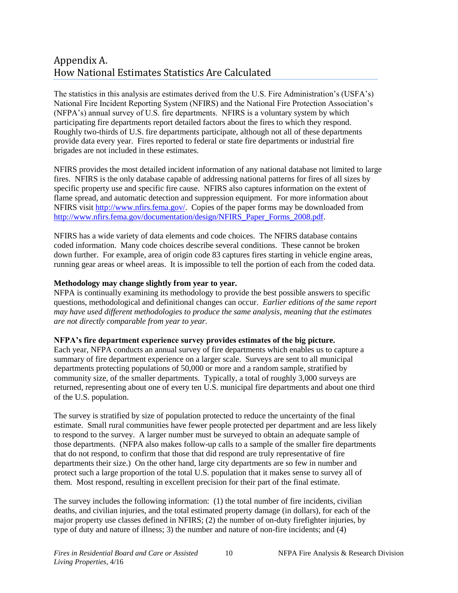# Appendix A. How National Estimates Statistics Are Calculated

The statistics in this analysis are estimates derived from the U.S. Fire Administration's (USFA's) National Fire Incident Reporting System (NFIRS) and the National Fire Protection Association's (NFPA's) annual survey of U.S. fire departments. NFIRS is a voluntary system by which participating fire departments report detailed factors about the fires to which they respond. Roughly two-thirds of U.S. fire departments participate, although not all of these departments provide data every year. Fires reported to federal or state fire departments or industrial fire brigades are not included in these estimates.

NFIRS provides the most detailed incident information of any national database not limited to large fires. NFIRS is the only database capable of addressing national patterns for fires of all sizes by specific property use and specific fire cause. NFIRS also captures information on the extent of flame spread, and automatic detection and suppression equipment. For more information about NFIRS visit [http://www.nfirs.fema.gov/.](http://www.nfirs.fema.gov/) Copies of the paper forms may be downloaded from [http://www.nfirs.fema.gov/documentation/design/NFIRS\\_Paper\\_Forms\\_2008.pdf.](http://www.nfirs.fema.gov/documentation/design/NFIRS_Paper_Forms_2008.pdf)

NFIRS has a wide variety of data elements and code choices. The NFIRS database contains coded information. Many code choices describe several conditions. These cannot be broken down further. For example, area of origin code 83 captures fires starting in vehicle engine areas, running gear areas or wheel areas. It is impossible to tell the portion of each from the coded data.

#### **Methodology may change slightly from year to year.**

NFPA is continually examining its methodology to provide the best possible answers to specific questions, methodological and definitional changes can occur. *Earlier editions of the same report may have used different methodologies to produce the same analysis, meaning that the estimates are not directly comparable from year to year.* 

#### **NFPA's fire department experience survey provides estimates of the big picture.**

Each year, NFPA conducts an annual survey of fire departments which enables us to capture a summary of fire department experience on a larger scale. Surveys are sent to all municipal departments protecting populations of 50,000 or more and a random sample, stratified by community size, of the smaller departments. Typically, a total of roughly 3,000 surveys are returned, representing about one of every ten U.S. municipal fire departments and about one third of the U.S. population.

The survey is stratified by size of population protected to reduce the uncertainty of the final estimate. Small rural communities have fewer people protected per department and are less likely to respond to the survey. A larger number must be surveyed to obtain an adequate sample of those departments. (NFPA also makes follow-up calls to a sample of the smaller fire departments that do not respond, to confirm that those that did respond are truly representative of fire departments their size.) On the other hand, large city departments are so few in number and protect such a large proportion of the total U.S. population that it makes sense to survey all of them. Most respond, resulting in excellent precision for their part of the final estimate.

The survey includes the following information: (1) the total number of fire incidents, civilian deaths, and civilian injuries, and the total estimated property damage (in dollars), for each of the major property use classes defined in NFIRS; (2) the number of on-duty firefighter injuries, by type of duty and nature of illness; 3) the number and nature of non-fire incidents; and (4)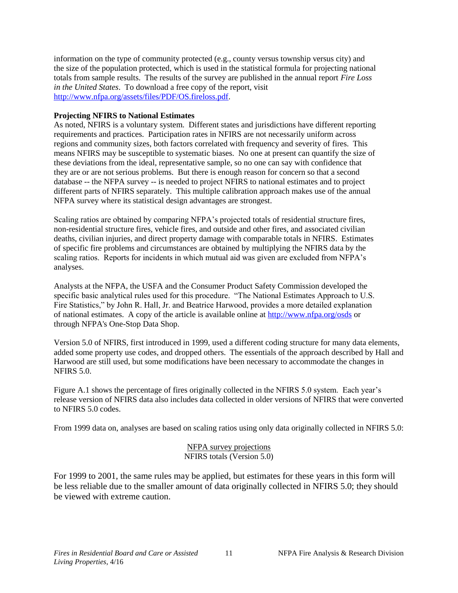information on the type of community protected (e.g., county versus township versus city) and the size of the population protected, which is used in the statistical formula for projecting national totals from sample results. The results of the survey are published in the annual report *Fire Loss in the United States*. To download a free copy of the report, visit [http://www.nfpa.org/assets/files/PDF/OS.fireloss.pdf.](http://www.nfpa.org/assets/files/PDF/OS.fireloss.pdf)

#### **Projecting NFIRS to National Estimates**

As noted, NFIRS is a voluntary system. Different states and jurisdictions have different reporting requirements and practices. Participation rates in NFIRS are not necessarily uniform across regions and community sizes, both factors correlated with frequency and severity of fires. This means NFIRS may be susceptible to systematic biases. No one at present can quantify the size of these deviations from the ideal, representative sample, so no one can say with confidence that they are or are not serious problems. But there is enough reason for concern so that a second database -- the NFPA survey -- is needed to project NFIRS to national estimates and to project different parts of NFIRS separately. This multiple calibration approach makes use of the annual NFPA survey where its statistical design advantages are strongest.

Scaling ratios are obtained by comparing NFPA's projected totals of residential structure fires, non-residential structure fires, vehicle fires, and outside and other fires, and associated civilian deaths, civilian injuries, and direct property damage with comparable totals in NFIRS. Estimates of specific fire problems and circumstances are obtained by multiplying the NFIRS data by the scaling ratios. Reports for incidents in which mutual aid was given are excluded from NFPA's analyses.

Analysts at the NFPA, the USFA and the Consumer Product Safety Commission developed the specific basic analytical rules used for this procedure. "The National Estimates Approach to U.S. Fire Statistics," by John R. Hall, Jr. and Beatrice Harwood, provides a more detailed explanation of national estimates. A copy of the article is available online at<http://www.nfpa.org/osds> or through NFPA's One-Stop Data Shop.

Version 5.0 of NFIRS, first introduced in 1999, used a different coding structure for many data elements, added some property use codes, and dropped others. The essentials of the approach described by Hall and Harwood are still used, but some modifications have been necessary to accommodate the changes in NFIRS 5.0.

Figure A.1 shows the percentage of fires originally collected in the NFIRS 5.0 system. Each year's release version of NFIRS data also includes data collected in older versions of NFIRS that were converted to NFIRS 5.0 codes.

From 1999 data on, analyses are based on scaling ratios using only data originally collected in NFIRS 5.0:

NFPA survey projections NFIRS totals (Version 5.0)

For 1999 to 2001, the same rules may be applied, but estimates for these years in this form will be less reliable due to the smaller amount of data originally collected in NFIRS 5.0; they should be viewed with extreme caution.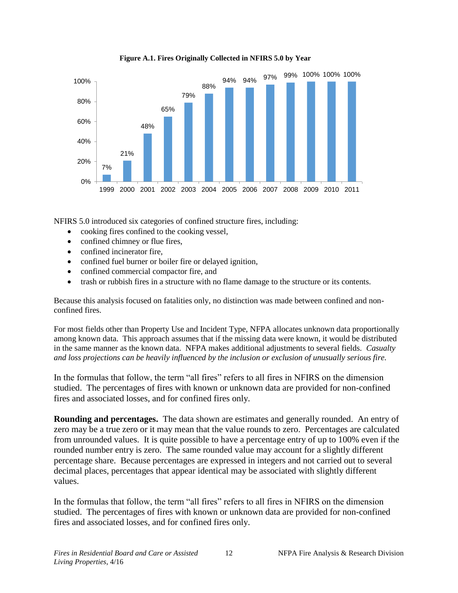

**Figure A.1. Fires Originally Collected in NFIRS 5.0 by Year**

NFIRS 5.0 introduced six categories of confined structure fires, including:

- cooking fires confined to the cooking vessel,
- confined chimney or flue fires,
- confined incinerator fire,
- confined fuel burner or boiler fire or delayed ignition,
- confined commercial compactor fire, and
- trash or rubbish fires in a structure with no flame damage to the structure or its contents.

Because this analysis focused on fatalities only, no distinction was made between confined and nonconfined fires.

For most fields other than Property Use and Incident Type, NFPA allocates unknown data proportionally among known data. This approach assumes that if the missing data were known, it would be distributed in the same manner as the known data. NFPA makes additional adjustments to several fields. *Casualty and loss projections can be heavily influenced by the inclusion or exclusion of unusually serious fire.* 

In the formulas that follow, the term "all fires" refers to all fires in NFIRS on the dimension studied. The percentages of fires with known or unknown data are provided for non-confined fires and associated losses, and for confined fires only.

**Rounding and percentages.** The data shown are estimates and generally rounded. An entry of zero may be a true zero or it may mean that the value rounds to zero. Percentages are calculated from unrounded values. It is quite possible to have a percentage entry of up to 100% even if the rounded number entry is zero. The same rounded value may account for a slightly different percentage share. Because percentages are expressed in integers and not carried out to several decimal places, percentages that appear identical may be associated with slightly different values.

In the formulas that follow, the term "all fires" refers to all fires in NFIRS on the dimension studied. The percentages of fires with known or unknown data are provided for non-confined fires and associated losses, and for confined fires only.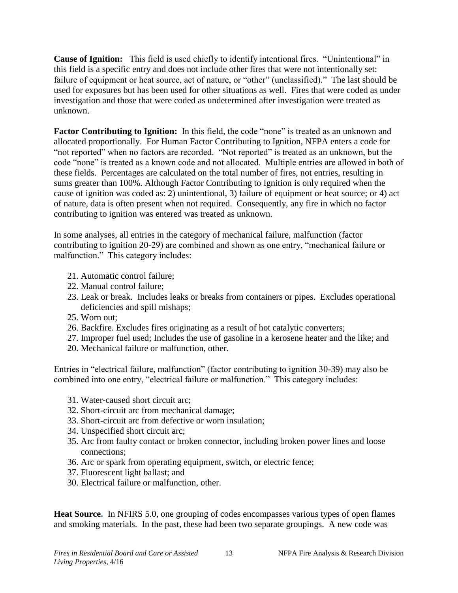**Cause of Ignition:** This field is used chiefly to identify intentional fires. "Unintentional" in this field is a specific entry and does not include other fires that were not intentionally set: failure of equipment or heat source, act of nature, or "other" (unclassified)." The last should be used for exposures but has been used for other situations as well. Fires that were coded as under investigation and those that were coded as undetermined after investigation were treated as unknown.

Factor Contributing to Ignition: In this field, the code "none" is treated as an unknown and allocated proportionally. For Human Factor Contributing to Ignition, NFPA enters a code for "not reported" when no factors are recorded. "Not reported" is treated as an unknown, but the code "none" is treated as a known code and not allocated. Multiple entries are allowed in both of these fields. Percentages are calculated on the total number of fires, not entries, resulting in sums greater than 100%. Although Factor Contributing to Ignition is only required when the cause of ignition was coded as: 2) unintentional, 3) failure of equipment or heat source; or 4) act of nature, data is often present when not required. Consequently, any fire in which no factor contributing to ignition was entered was treated as unknown.

In some analyses, all entries in the category of mechanical failure, malfunction (factor contributing to ignition 20-29) are combined and shown as one entry, "mechanical failure or malfunction." This category includes:

- 21. Automatic control failure;
- 22. Manual control failure;
- 23. Leak or break. Includes leaks or breaks from containers or pipes. Excludes operational deficiencies and spill mishaps;
- 25. Worn out;
- 26. Backfire. Excludes fires originating as a result of hot catalytic converters;
- 27. Improper fuel used; Includes the use of gasoline in a kerosene heater and the like; and
- 20. Mechanical failure or malfunction, other.

Entries in "electrical failure, malfunction" (factor contributing to ignition 30-39) may also be combined into one entry, "electrical failure or malfunction." This category includes:

- 31. Water-caused short circuit arc;
- 32. Short-circuit arc from mechanical damage;
- 33. Short-circuit arc from defective or worn insulation;
- 34. Unspecified short circuit arc;
- 35. Arc from faulty contact or broken connector, including broken power lines and loose connections;
- 36. Arc or spark from operating equipment, switch, or electric fence;
- 37. Fluorescent light ballast; and
- 30. Electrical failure or malfunction, other.

**Heat Source.** In NFIRS 5.0, one grouping of codes encompasses various types of open flames and smoking materials. In the past, these had been two separate groupings. A new code was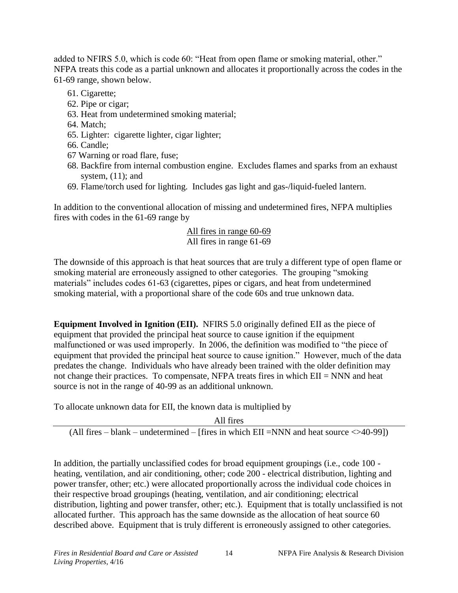added to NFIRS 5.0, which is code 60: "Heat from open flame or smoking material, other." NFPA treats this code as a partial unknown and allocates it proportionally across the codes in the 61-69 range, shown below.

- 61. Cigarette;
- 62. Pipe or cigar;
- 63. Heat from undetermined smoking material;
- 64. Match;
- 65. Lighter: cigarette lighter, cigar lighter;
- 66. Candle;
- 67 Warning or road flare, fuse;
- 68. Backfire from internal combustion engine. Excludes flames and sparks from an exhaust system, (11); and
- 69. Flame/torch used for lighting. Includes gas light and gas-/liquid-fueled lantern.

In addition to the conventional allocation of missing and undetermined fires, NFPA multiplies fires with codes in the 61-69 range by

## All fires in range 60-69 All fires in range 61-69

The downside of this approach is that heat sources that are truly a different type of open flame or smoking material are erroneously assigned to other categories. The grouping "smoking materials" includes codes 61-63 (cigarettes, pipes or cigars, and heat from undetermined smoking material, with a proportional share of the code 60s and true unknown data.

**Equipment Involved in Ignition (EII).** NFIRS 5.0 originally defined EII as the piece of equipment that provided the principal heat source to cause ignition if the equipment malfunctioned or was used improperly. In 2006, the definition was modified to "the piece of equipment that provided the principal heat source to cause ignition." However, much of the data predates the change. Individuals who have already been trained with the older definition may not change their practices. To compensate, NFPA treats fires in which EII = NNN and heat source is not in the range of 40-99 as an additional unknown.

To allocate unknown data for EII, the known data is multiplied by

All fires

(All fires – blank – undetermined – [fires in which EII =NNN and heat source  $\langle$  >40-99])

In addition, the partially unclassified codes for broad equipment groupings (i.e., code 100 heating, ventilation, and air conditioning, other; code 200 - electrical distribution, lighting and power transfer, other; etc.) were allocated proportionally across the individual code choices in their respective broad groupings (heating, ventilation, and air conditioning; electrical distribution, lighting and power transfer, other; etc.). Equipment that is totally unclassified is not allocated further. This approach has the same downside as the allocation of heat source 60 described above. Equipment that is truly different is erroneously assigned to other categories.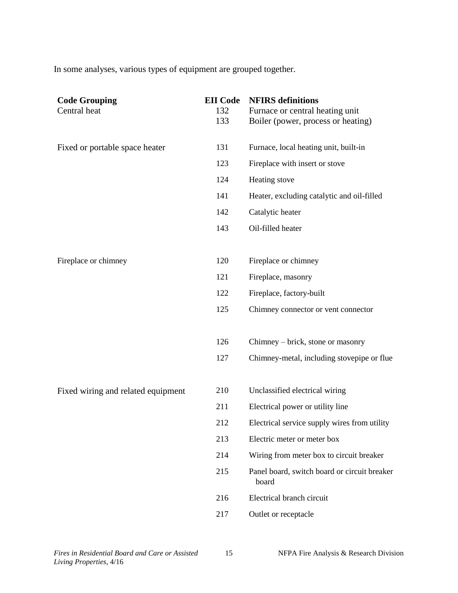In some analyses, various types of equipment are grouped together.

| 131<br>Furnace, local heating unit, built-in<br>Fixed or portable space heater<br>123<br>Fireplace with insert or stove<br>124<br>Heating stove<br>141<br>Heater, excluding catalytic and oil-filled<br>142<br>Catalytic heater<br>Oil-filled heater<br>143<br>Fireplace or chimney<br>Fireplace or chimney<br>120<br>121<br>Fireplace, masonry<br>122<br>Fireplace, factory-built<br>125<br>Chimney connector or vent connector<br>126<br>Chimney – brick, stone or masonry<br>127<br>210<br>Unclassified electrical wiring<br>Fixed wiring and related equipment<br>211<br>Electrical power or utility line<br>212<br>Electrical service supply wires from utility<br>213<br>Electric meter or meter box<br>214<br>Wiring from meter box to circuit breaker<br>215<br>Panel board, switch board or circuit breaker<br>board<br>Electrical branch circuit<br>216<br>217<br>Outlet or receptacle | <b>Code Grouping</b><br>Central heat | <b>EII</b> Code<br>132<br>133 | <b>NFIRS</b> definitions<br>Furnace or central heating unit<br>Boiler (power, process or heating) |
|--------------------------------------------------------------------------------------------------------------------------------------------------------------------------------------------------------------------------------------------------------------------------------------------------------------------------------------------------------------------------------------------------------------------------------------------------------------------------------------------------------------------------------------------------------------------------------------------------------------------------------------------------------------------------------------------------------------------------------------------------------------------------------------------------------------------------------------------------------------------------------------------------|--------------------------------------|-------------------------------|---------------------------------------------------------------------------------------------------|
|                                                                                                                                                                                                                                                                                                                                                                                                                                                                                                                                                                                                                                                                                                                                                                                                                                                                                                  |                                      |                               |                                                                                                   |
|                                                                                                                                                                                                                                                                                                                                                                                                                                                                                                                                                                                                                                                                                                                                                                                                                                                                                                  |                                      |                               |                                                                                                   |
|                                                                                                                                                                                                                                                                                                                                                                                                                                                                                                                                                                                                                                                                                                                                                                                                                                                                                                  |                                      |                               |                                                                                                   |
|                                                                                                                                                                                                                                                                                                                                                                                                                                                                                                                                                                                                                                                                                                                                                                                                                                                                                                  |                                      |                               |                                                                                                   |
|                                                                                                                                                                                                                                                                                                                                                                                                                                                                                                                                                                                                                                                                                                                                                                                                                                                                                                  |                                      |                               |                                                                                                   |
|                                                                                                                                                                                                                                                                                                                                                                                                                                                                                                                                                                                                                                                                                                                                                                                                                                                                                                  |                                      |                               |                                                                                                   |
|                                                                                                                                                                                                                                                                                                                                                                                                                                                                                                                                                                                                                                                                                                                                                                                                                                                                                                  |                                      |                               |                                                                                                   |
|                                                                                                                                                                                                                                                                                                                                                                                                                                                                                                                                                                                                                                                                                                                                                                                                                                                                                                  |                                      |                               |                                                                                                   |
|                                                                                                                                                                                                                                                                                                                                                                                                                                                                                                                                                                                                                                                                                                                                                                                                                                                                                                  |                                      |                               |                                                                                                   |
|                                                                                                                                                                                                                                                                                                                                                                                                                                                                                                                                                                                                                                                                                                                                                                                                                                                                                                  |                                      |                               |                                                                                                   |
|                                                                                                                                                                                                                                                                                                                                                                                                                                                                                                                                                                                                                                                                                                                                                                                                                                                                                                  |                                      |                               |                                                                                                   |
|                                                                                                                                                                                                                                                                                                                                                                                                                                                                                                                                                                                                                                                                                                                                                                                                                                                                                                  |                                      |                               |                                                                                                   |
|                                                                                                                                                                                                                                                                                                                                                                                                                                                                                                                                                                                                                                                                                                                                                                                                                                                                                                  |                                      |                               |                                                                                                   |
|                                                                                                                                                                                                                                                                                                                                                                                                                                                                                                                                                                                                                                                                                                                                                                                                                                                                                                  |                                      |                               | Chimney-metal, including stovepipe or flue                                                        |
|                                                                                                                                                                                                                                                                                                                                                                                                                                                                                                                                                                                                                                                                                                                                                                                                                                                                                                  |                                      |                               |                                                                                                   |
|                                                                                                                                                                                                                                                                                                                                                                                                                                                                                                                                                                                                                                                                                                                                                                                                                                                                                                  |                                      |                               |                                                                                                   |
|                                                                                                                                                                                                                                                                                                                                                                                                                                                                                                                                                                                                                                                                                                                                                                                                                                                                                                  |                                      |                               |                                                                                                   |
|                                                                                                                                                                                                                                                                                                                                                                                                                                                                                                                                                                                                                                                                                                                                                                                                                                                                                                  |                                      |                               |                                                                                                   |
|                                                                                                                                                                                                                                                                                                                                                                                                                                                                                                                                                                                                                                                                                                                                                                                                                                                                                                  |                                      |                               |                                                                                                   |
|                                                                                                                                                                                                                                                                                                                                                                                                                                                                                                                                                                                                                                                                                                                                                                                                                                                                                                  |                                      |                               |                                                                                                   |
|                                                                                                                                                                                                                                                                                                                                                                                                                                                                                                                                                                                                                                                                                                                                                                                                                                                                                                  |                                      |                               |                                                                                                   |
|                                                                                                                                                                                                                                                                                                                                                                                                                                                                                                                                                                                                                                                                                                                                                                                                                                                                                                  |                                      |                               |                                                                                                   |
|                                                                                                                                                                                                                                                                                                                                                                                                                                                                                                                                                                                                                                                                                                                                                                                                                                                                                                  |                                      |                               |                                                                                                   |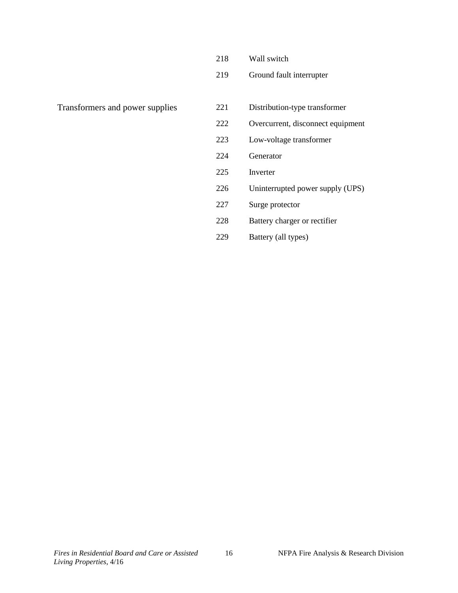|  | 218 |  | Wall switch |
|--|-----|--|-------------|
|--|-----|--|-------------|

Ground fault interrupter

- Transformers and power supplies 221 Distribution-type transformer
	- Overcurrent, disconnect equipment
	- Low-voltage transformer
	- Generator
	- Inverter
	- Uninterrupted power supply (UPS)
	- Surge protector
	- Battery charger or rectifier
	- Battery (all types)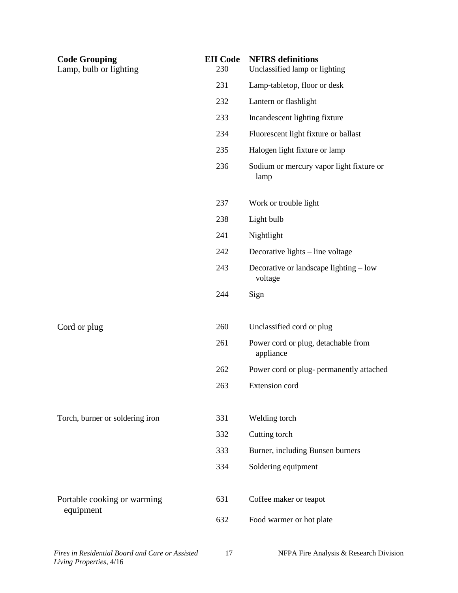| <b>Code Grouping</b><br>Lamp, bulb or lighting  | <b>EII</b> Code<br>230 | <b>NFIRS</b> definitions<br>Unclassified lamp or lighting |
|-------------------------------------------------|------------------------|-----------------------------------------------------------|
|                                                 | 231                    | Lamp-tabletop, floor or desk                              |
|                                                 | 232                    | Lantern or flashlight                                     |
|                                                 | 233                    | Incandescent lighting fixture                             |
|                                                 | 234                    | Fluorescent light fixture or ballast                      |
|                                                 | 235                    | Halogen light fixture or lamp                             |
|                                                 | 236                    | Sodium or mercury vapor light fixture or<br>lamp          |
|                                                 | 237                    | Work or trouble light                                     |
|                                                 | 238                    | Light bulb                                                |
|                                                 | 241                    | Nightlight                                                |
|                                                 | 242                    | Decorative lights – line voltage                          |
|                                                 | 243                    | Decorative or landscape lighting – low<br>voltage         |
|                                                 | 244                    | Sign                                                      |
| Cord or plug                                    | 260                    | Unclassified cord or plug                                 |
|                                                 | 261                    | Power cord or plug, detachable from<br>appliance          |
|                                                 | 262                    | Power cord or plug- permanently attached                  |
|                                                 | 263                    | Extension cord                                            |
| Torch, burner or soldering iron                 | 331                    | Welding torch                                             |
|                                                 | 332                    | Cutting torch                                             |
|                                                 | 333                    | Burner, including Bunsen burners                          |
|                                                 | 334                    | Soldering equipment                                       |
| Portable cooking or warming<br>equipment        | 631                    | Coffee maker or teapot                                    |
|                                                 | 632                    | Food warmer or hot plate                                  |
| Fires in Residential Board and Care or Assisted | 17                     | NFPA Fire Analysis & Research Division                    |

*Living Properties*, 4/16